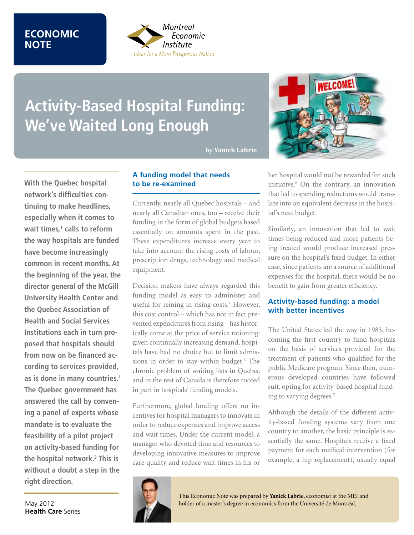# **ECONOMIC NOTE**



# **Activity-Based Hospital Funding: We've Waited Long Enough**

by **Yanick Labrie** 



# **A funding model that needs to be re-examined**

Currently, nearly all Quebec hospitals – and nearly all Canadian ones, too – receive their funding in the form of global budgets based essentially on amounts spent in the past. These expenditures increase every year to take into account the rising costs of labour, prescription drugs, technology and medical equipment.

Decision makers have always regarded this funding model as easy to administer and useful for reining in rising costs.<sup>4</sup> However, this cost control – which has not in fact prevented expenditures from rising – has historically come at the price of service rationing: given continually increasing demand, hospitals have had no choice but to limit admissions in order to stay within budget.<sup>5</sup> The chronic problem of waiting lists in Quebec and in the rest of Canada is therefore rooted in part in hospitals' funding models.

Furthermore, global funding offers no incentives for hospital managers to innovate in order to reduce expenses and improve access and wait times. Under the current model, a manager who devoted time and resources to developing innovative measures to improve care quality and reduce wait times in his or



her hospital would not be rewarded for such initiative.6 On the contrary, an innovation that led to spending reductions would translate into an equivalent decrease in the hospital's next budget.

Similarly, an innovation that led to wait times being reduced and more patients being treated would produce increased pressure on the hospital's fixed budget. In either case, since patients are a source of additional expenses for the hospital, there would be no benefit to gain from greater efficiency.

# **Activity-based funding: a model with better incentives**

The United States led the way in 1983, becoming the first country to fund hospitals on the basis of services provided for the treatment of patients who qualified for the public Medicare program. Since then, numerous developed countries have followed suit, opting for activity-based hospital funding to varying degrees.7

Although the details of the different activity-based funding systems vary from one country to another, the basic principle is essentially the same. Hospitals receive a fixed payment for each medical intervention (for example, a hip replacement), usually equal



This Economic Note was prepared by **Yanick Labrie**, economist at the MEI and holder of a master's degree in economics from the Université de Montréal.

May 2012 **Health Care** Series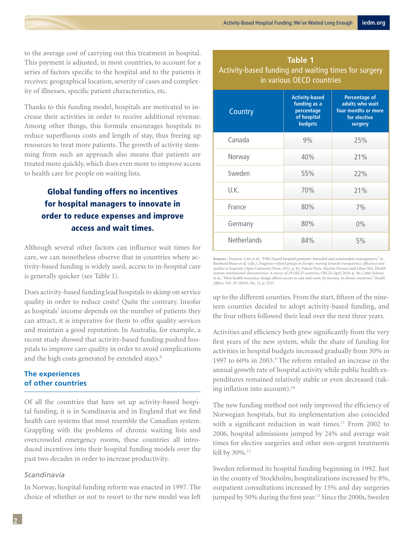to the average cost of carrying out this treatment in hospital. This payment is adjusted, in most countries, to account for a series of factors specific to the hospital and to the patients it receives: geographical location, severity of cases and complexity of illnesses, specific patient characteristics, etc.

Thanks to this funding model, hospitals are motivated to increase their activities in order to receive additional revenue. Among other things, this formula encourages hospitals to reduce superfluous costs and length of stay, thus freeing up resources to treat more patients. The growth of activity stemming from such an approach also means that patients are treated more quickly, which does even more to improve access to health care for people on waiting lists.

# Global funding offers no incentives for hospital managers to innovate in order to reduce expenses and improve access and wait times.

Although several other factors can influence wait times for care, we can nonetheless observe that in countries where activity-based funding is widely used, access to in-hospital care is generally quicker (see Table 1).

Does activity-based funding lead hospitals to skimp on service quality in order to reduce costs? Quite the contrary. Insofar as hospitals' income depends on the number of patients they can attract, it is imperative for them to offer quality services and maintain a good reputation. In Australia, for example, a recent study showed that activity-based funding pushed hospitals to improve care quality in order to avoid complications and the high costs generated by extended stays.<sup>8</sup>

## **The experiences of other countries**

Of all the countries that have set up activity-based hospital funding, it is in Scandinavia and in England that we find health care systems that most resemble the Canadian system. Grappling with the problems of chronic waiting lists and overcrowded emergency rooms, these countries all introduced incentives into their hospital funding models over the past two decades in order to increase productivity.

### *Scandinavia*

In Norway, hospital funding reform was enacted in 1997. The choice of whether or not to resort to the new model was left

| <b>Table 1</b><br>Activity-based funding and waiting times for surgery<br>in various OECD countries |                                                                                      |                                                                                           |
|-----------------------------------------------------------------------------------------------------|--------------------------------------------------------------------------------------|-------------------------------------------------------------------------------------------|
| Country                                                                                             | <b>Activity-based</b><br>funding as a<br>percentage<br>of hospital<br><b>budgets</b> | <b>Percentage of</b><br>adults who wait<br>four months or more<br>for elective<br>surgery |
| Canada                                                                                              | 9%                                                                                   | 25%                                                                                       |
| Norway                                                                                              | 40%                                                                                  | 21%                                                                                       |
| Sweden                                                                                              | 55%                                                                                  | 22%                                                                                       |
| U.K.                                                                                                | 70%                                                                                  | 21%                                                                                       |
| France                                                                                              | 80%                                                                                  | 7%                                                                                        |
| Germany                                                                                             | 80%                                                                                  | $0\%$                                                                                     |
| <b>Netherlands</b>                                                                                  | 84%                                                                                  | 5%                                                                                        |

**Sources :** Francesc Cots et al., "DRG-based hospital payment: Intended and unintended consequences," in Reinhard Busse et al. (eds.), Diagnosis-related groups in Europe: moving towards transparency, efficiency and<br>quality in hospitals, Open University Press, 2011, p. 81; Valerie Paris, Marion Devaux and Lihan Wei, Health<br>sys et al., "How health insurance design affects access to care and costs, by income, in eleven countries," *Health Affairs,* Vol. 29 (2010), No. 12, p. 2327.

up to the different counties. From the start, fifteen of the nineteen counties decided to adopt activity-based funding, and the four others followed their lead over the next three years.

Activities and efficiency both grew significantly from the very first years of the new system, while the share of funding for activities in hospital budgets increased gradually from 30% in 1997 to 60% in 2003.<sup>9</sup> The reform entailed an increase in the annual growth rate of hospital activity while public health expenditures remained relatively stable or even decreased (taking inflation into account).<sup>10</sup>

The new funding method not only improved the efficiency of Norwegian hospitals, but its implementation also coincided with a significant reduction in wait times.<sup>11</sup> From 2002 to 2006, hospital admissions jumped by 24% and average wait times for elective surgeries and other non-urgent treatments fell by 30%.<sup>12</sup>

Sweden reformed its hospital funding beginning in 1992. Just in the county of Stockholm, hospitalizations increased by 8%, outpatient consultations increased by 15% and day surgeries jumped by 50% during the first year.<sup>13</sup> Since the 2000s, Sweden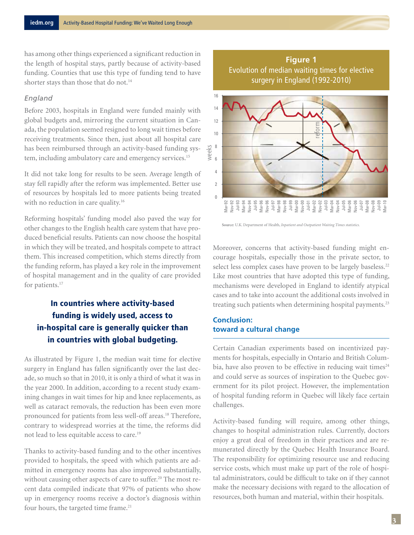has among other things experienced a significant reduction in the length of hospital stays, partly because of activity-based funding. Counties that use this type of funding tend to have shorter stays than those that do not.<sup>14</sup>

## *England*

Before 2003, hospitals in England were funded mainly with global budgets and, mirroring the current situation in Canada, the population seemed resigned to long wait times before receiving treatments. Since then, just about all hospital care has been reimbursed through an activity-based funding system, including ambulatory care and emergency services.<sup>15</sup>

It did not take long for results to be seen. Average length of stay fell rapidly after the reform was implemented. Better use of resources by hospitals led to more patients being treated with no reduction in care quality.<sup>16</sup>

Reforming hospitals' funding model also paved the way for other changes to the English health care system that have produced beneficial results. Patients can now choose the hospital in which they will be treated, and hospitals compete to attract them. This increased competition, which stems directly from the funding reform, has played a key role in the improvement of hospital management and in the quality of care provided for patients.<sup>17</sup>

# In countries where activity-based funding is widely used, access to in-hospital care is generally quicker than in countries with global budgeting.

As illustrated by Figure 1, the median wait time for elective surgery in England has fallen significantly over the last decade, so much so that in 2010, it is only a third of what it was in the year 2000. In addition, according to a recent study examining changes in wait times for hip and knee replacements, as well as cataract removals, the reduction has been even more pronounced for patients from less well-off areas.<sup>18</sup> Therefore, contrary to widespread worries at the time, the reforms did not lead to less equitable access to care.19

Thanks to activity-based funding and to the other incentives provided to hospitals, the speed with which patients are admitted in emergency rooms has also improved substantially, without causing other aspects of care to suffer.<sup>20</sup> The most recent data compiled indicate that 97% of patients who show up in emergency rooms receive a doctor's diagnosis within four hours, the targeted time frame.<sup>21</sup>





**Source:** U.K. Department of Health, *Inpatient and Outpatient Waiting Times statistics.*

Moreover, concerns that activity-based funding might encourage hospitals, especially those in the private sector, to select less complex cases have proven to be largely baseless.<sup>22</sup> Like most countries that have adopted this type of funding, mechanisms were developed in England to identify atypical cases and to take into account the additional costs involved in treating such patients when determining hospital payments.<sup>23</sup>

## **Conclusion: toward a cultural change**

Certain Canadian experiments based on incentivized payments for hospitals, especially in Ontario and British Columbia, have also proven to be effective in reducing wait times $24$ and could serve as sources of inspiration to the Quebec government for its pilot project. However, the implementation of hospital funding reform in Quebec will likely face certain challenges.

Activity-based funding will require, among other things, changes to hospital administration rules. Currently, doctors enjoy a great deal of freedom in their practices and are remunerated directly by the Quebec Health Insurance Board. The responsibility for optimizing resource use and reducing service costs, which must make up part of the role of hospital administrators, could be difficult to take on if they cannot make the necessary decisions with regard to the allocation of resources, both human and material, within their hospitals.